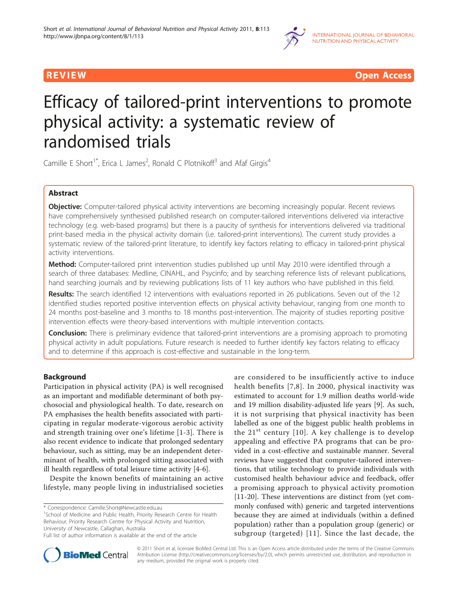

**REVIEW CONSUMING THE CONSUMING OPEN ACCESS** 

# Efficacy of tailored-print interventions to promote physical activity: a systematic review of randomised trials

Camille E Short<sup>1\*</sup>, Erica L James<sup>2</sup>, Ronald C Plotnikoff<sup>3</sup> and Afaf Girgis<sup>4</sup>

# Abstract

Objective: Computer-tailored physical activity interventions are becoming increasingly popular. Recent reviews have comprehensively synthesised published research on computer-tailored interventions delivered via interactive technology (e.g. web-based programs) but there is a paucity of synthesis for interventions delivered via traditional print-based media in the physical activity domain (i.e. tailored-print interventions). The current study provides a systematic review of the tailored-print literature, to identify key factors relating to efficacy in tailored-print physical activity interventions.

Method: Computer-tailored print intervention studies published up until May 2010 were identified through a search of three databases: Medline, CINAHL, and Psycinfo; and by searching reference lists of relevant publications, hand searching journals and by reviewing publications lists of 11 key authors who have published in this field.

Results: The search identified 12 interventions with evaluations reported in 26 publications. Seven out of the 12 identified studies reported positive intervention effects on physical activity behaviour, ranging from one month to 24 months post-baseline and 3 months to 18 months post-intervention. The majority of studies reporting positive intervention effects were theory-based interventions with multiple intervention contacts.

**Conclusion:** There is preliminary evidence that tailored-print interventions are a promising approach to promoting physical activity in adult populations. Future research is needed to further identify key factors relating to efficacy and to determine if this approach is cost-effective and sustainable in the long-term.

# Background

Participation in physical activity (PA) is well recognised as an important and modifiable determinant of both psychosocial and physiological health. To date, research on PA emphasises the health benefits associated with participating in regular moderate-vigorous aerobic activity and strength training over one's lifetime [\[1-3](#page-10-0)]. There is also recent evidence to indicate that prolonged sedentary behaviour, such as sitting, may be an independent determinant of health, with prolonged sitting associated with ill health regardless of total leisure time activity [[4-6](#page-10-0)].

Despite the known benefits of maintaining an active lifestyle, many people living in industrialised societies

\* Correspondence: [Camille.Short@Newcastle.edu.au](mailto:Camille.Short@Newcastle.edu.au)

<sup>1</sup>School of Medicine and Public Health, Priority Research Centre for Health Behaviour, Priority Research Centre for Physical Activity and Nutrition, University of Newcastle, Callaghan, Australia

are considered to be insufficiently active to induce health benefits [[7](#page-10-0),[8](#page-10-0)]. In 2000, physical inactivity was estimated to account for 1.9 million deaths world-wide and 19 million disability-adjusted life years [[9\]](#page-10-0). As such, it is not surprising that physical inactivity has been labelled as one of the biggest public health problems in the  $21^{st}$  century [[10](#page-10-0)]. A key challenge is to develop appealing and effective PA programs that can be provided in a cost-effective and sustainable manner. Several reviews have suggested that computer-tailored interventions, that utilise technology to provide individuals with customised health behaviour advice and feedback, offer a promising approach to physical activity promotion [[11-20](#page-10-0)]. These interventions are distinct from (yet commonly confused with) generic and targeted interventions because they are aimed at individuals (within a defined population) rather than a population group (generic) or subgroup (targeted) [[11](#page-10-0)]. Since the last decade, the



© 2011 Short et al; licensee BioMed Central Ltd. This is an Open Access article distributed under the terms of the Creative Commons Attribution License [\(http://creativecommons.org/licenses/by/2.0](http://creativecommons.org/licenses/by/2.0)), which permits unrestricted use, distribution, and reproduction in any medium, provided the original work is properly cited.

Full list of author information is available at the end of the article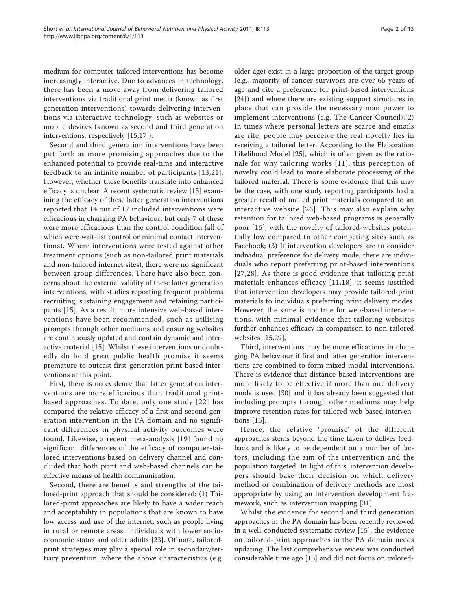medium for computer-tailored interventions has become increasingly interactive. Due to advances in technology, there has been a move away from delivering tailored interventions via traditional print media (known as first generation interventions) towards delivering interventions via interactive technology, such as websites or mobile devices (known as second and third generation interventions, respectively [[15,17\]](#page-10-0)).

Second and third generation interventions have been put forth as more promising approaches due to the enhanced potential to provide real-time and interactive feedback to an infinite number of participants [[13](#page-10-0),[21\]](#page-10-0). However, whether these benefits translate into enhanced efficacy is unclear. A recent systematic review [\[15](#page-10-0)] examining the efficacy of these latter generation interventions reported that 14 out of 17 included interventions were efficacious in changing PA behaviour, but only 7 of these were more efficacious than the control condition (all of which were wait-list control or minimal contact interventions). Where interventions were tested against other treatment options (such as non-tailored print materials and non-tailored internet sites), there were no significant between group differences. There have also been concerns about the external validity of these latter generation interventions, with studies reporting frequent problems recruiting, sustaining engagement and retaining participants [[15\]](#page-10-0). As a result, more intensive web-based interventions have been recommended, such as utilising prompts through other mediums and ensuring websites are continuously updated and contain dynamic and interactive material [[15\]](#page-10-0). Whilst these interventions undoubtedly do hold great public health promise it seems premature to outcast first-generation print-based interventions at this point.

First, there is no evidence that latter generation interventions are more efficacious than traditional printbased approaches. To date, only one study [[22\]](#page-10-0) has compared the relative efficacy of a first and second generation intervention in the PA domain and no significant differences in physical activity outcomes were found. Likewise, a recent meta-analysis [[19](#page-10-0)] found no significant differences of the efficacy of computer-tailored interventions based on delivery channel and concluded that both print and web-based channels can be effective means of health communication.

Second, there are benefits and strengths of the tailored-print approach that should be considered: (1) Tailored-print approaches are likely to have a wider reach and acceptability in populations that are known to have low access and use of the internet, such as people living in rural or remote areas, individuals with lower socioeconomic status and older adults [[23\]](#page-10-0). Of note, tailoredprint strategies may play a special role in secondary/tertiary prevention, where the above characteristics (e.g.

older age) exist in a large proportion of the target group (e.g., majority of cancer survivors are over 65 years of age and cite a preference for print-based interventions [[24\]](#page-10-0)) and where there are existing support structures in place that can provide the necessary man power to implement interventions (e.g. The Cancer Council);(2) In times where personal letters are scarce and emails are rife, people may perceive the real novelty lies in receiving a tailored letter. According to the Elaboration Likelihood Model [[25\]](#page-11-0), which is often given as the rationale for why tailoring works [[11\]](#page-10-0), this perception of novelty could lead to more elaborate processing of the tailored material. There is some evidence that this may be the case, with one study reporting participants had a greater recall of mailed print materials compared to an interactive website [[26\]](#page-11-0). This may also explain why retention for tailored web-based programs is generally poor [\[15\]](#page-10-0), with the novelty of tailored-websites potentially low compared to other competing sites such as Facebook; (3) If intervention developers are to consider individual preference for delivery mode, there are individuals who report preferring print-based interventions [[27](#page-11-0),[28](#page-11-0)]. As there is good evidence that tailoring print materials enhances efficacy [\[11,18\]](#page-10-0), it seems justified that intervention developers may provide tailored-print materials to individuals preferring print delivery modes. However, the same is not true for web-based interventions, with minimal evidence that tailoring websites further enhances efficacy in comparison to non-tailored websites [[15,](#page-10-0)[29\]](#page-11-0),

Third, interventions may be more efficacious in changing PA behaviour if first and latter generation interventions are combined to form mixed modal interventions. There is evidence that distance-based interventions are more likely to be effective if more than one delivery mode is used [\[30](#page-11-0)] and it has already been suggested that including prompts through other mediums may help improve retention rates for tailored-web-based interventions [\[15\]](#page-10-0).

Hence, the relative 'promise' of the different approaches stems beyond the time taken to deliver feedback and is likely to be dependent on a number of factors, including the aim of the intervention and the population targeted. In light of this, intervention developers should base their decision on which delivery method or combination of delivery methods are most appropriate by using an intervention development framework, such as intervention mapping [\[31\]](#page-11-0).

Whilst the evidence for second and third generation approaches in the PA domain has been recently reviewed in a well-conducted systematic review [\[15](#page-10-0)], the evidence on tailored-print approaches in the PA domain needs updating. The last comprehensive review was conducted considerable time ago [\[13\]](#page-10-0) and did not focus on tailored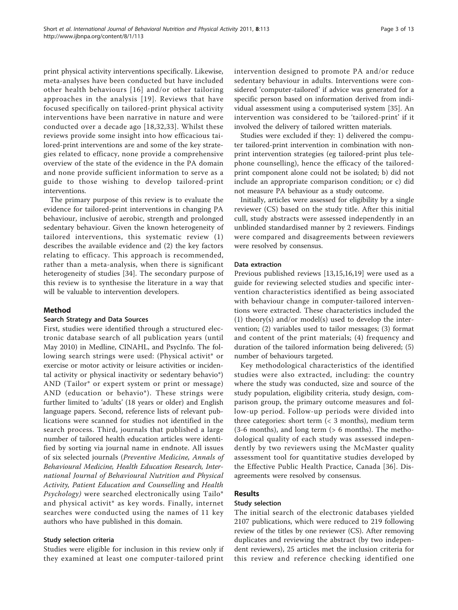print physical activity interventions specifically. Likewise, meta-analyses have been conducted but have included other health behaviours [[16](#page-10-0)] and/or other tailoring approaches in the analysis [[19](#page-10-0)]. Reviews that have focused specifically on tailored-print physical activity interventions have been narrative in nature and were conducted over a decade ago [[18,](#page-10-0)[32,33\]](#page-11-0). Whilst these reviews provide some insight into how efficacious tailored-print interventions are and some of the key strategies related to efficacy, none provide a comprehensive overview of the state of the evidence in the PA domain and none provide sufficient information to serve as a guide to those wishing to develop tailored-print interventions.

The primary purpose of this review is to evaluate the evidence for tailored-print interventions in changing PA behaviour, inclusive of aerobic, strength and prolonged sedentary behaviour. Given the known heterogeneity of tailored interventions, this systematic review (1) describes the available evidence and (2) the key factors relating to efficacy. This approach is recommended, rather than a meta-analysis, when there is significant heterogeneity of studies [[34\]](#page-11-0). The secondary purpose of this review is to synthesise the literature in a way that will be valuable to intervention developers.

# Method

# Search Strategy and Data Sources

First, studies were identified through a structured electronic database search of all publication years (until May 2010) in Medline, CINAHL, and PsycInfo. The following search strings were used: (Physical activit\* or exercise or motor activity or leisure activities or incidental activity or physical inactivity or sedentary behavio\*) AND (Tailor\* or expert system or print or message) AND (education or behavio\*). These strings were further limited to 'adults' (18 years or older) and English language papers. Second, reference lists of relevant publications were scanned for studies not identified in the search process. Third, journals that published a large number of tailored health education articles were identified by sorting via journal name in endnote. All issues of six selected journals (Preventive Medicine, Annals of Behavioural Medicine, Health Education Research, International Journal of Behavioural Nutrition and Physical Activity, Patient Education and Counselling and Health Psychology) were searched electronically using Tailo\* and physical activit\* as key words. Finally, internet searches were conducted using the names of 11 key authors who have published in this domain.

# Study selection criteria

Studies were eligible for inclusion in this review only if they examined at least one computer-tailored print intervention designed to promote PA and/or reduce sedentary behaviour in adults. Interventions were considered 'computer-tailored' if advice was generated for a specific person based on information derived from individual assessment using a computerised system [[35\]](#page-11-0). An intervention was considered to be 'tailored-print' if it involved the delivery of tailored written materials.

Studies were excluded if they: 1) delivered the computer tailored-print intervention in combination with nonprint intervention strategies (eg tailored-print plus telephone counselling), hence the efficacy of the tailoredprint component alone could not be isolated; b) did not include an appropriate comparison condition; or c) did not measure PA behaviour as a study outcome.

Initially, articles were assessed for eligibility by a single reviewer (CS) based on the study title. After this initial cull, study abstracts were assessed independently in an unblinded standardised manner by 2 reviewers. Findings were compared and disagreements between reviewers were resolved by consensus.

# Data extraction

Previous published reviews [\[13,15,16](#page-10-0),[19\]](#page-10-0) were used as a guide for reviewing selected studies and specific intervention characteristics identified as being associated with behaviour change in computer-tailored interventions were extracted. These characteristics included the (1) theory(s) and/or model(s) used to develop the intervention; (2) variables used to tailor messages; (3) format and content of the print materials; (4) frequency and duration of the tailored information being delivered; (5) number of behaviours targeted.

Key methodological characteristics of the identified studies were also extracted, including: the country where the study was conducted, size and source of the study population, eligibility criteria, study design, comparison group, the primary outcome measures and follow-up period. Follow-up periods were divided into three categories: short term (< 3 months), medium term (3-6 months), and long term (> 6 months). The methodological quality of each study was assessed independently by two reviewers using the McMaster quality assessment tool for quantitative studies developed by the Effective Public Health Practice, Canada [[36\]](#page-11-0). Disagreements were resolved by consensus.

# Results

# Study selection

The initial search of the electronic databases yielded 2107 publications, which were reduced to 219 following review of the titles by one reviewer (CS). After removing duplicates and reviewing the abstract (by two independent reviewers), 25 articles met the inclusion criteria for this review and reference checking identified one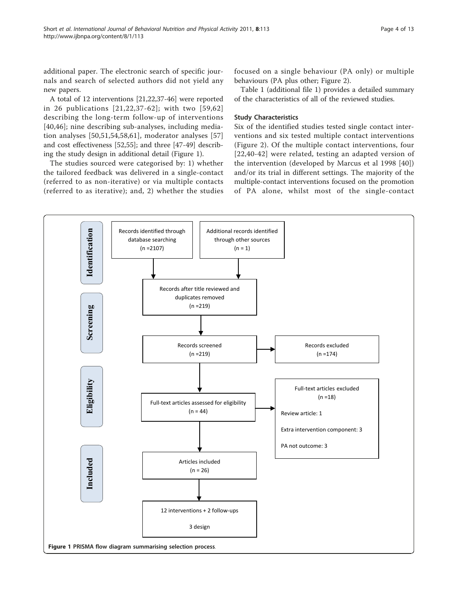additional paper. The electronic search of specific journals and search of selected authors did not yield any new papers.

A total of 12 interventions [\[21,22,](#page-10-0)[37-46](#page-11-0)] were reported in 26 publications [[21,22](#page-10-0),[37](#page-11-0)-[62](#page-11-0)]; with two [[59](#page-11-0),[62](#page-11-0)] describing the long-term follow-up of interventions [[40,46\]](#page-11-0); nine describing sub-analyses, including mediation analyses [[50,51](#page-11-0),[54,58,61\]](#page-11-0), moderator analyses [\[57](#page-11-0)] and cost effectiveness [\[52,55\]](#page-11-0); and three [\[47-49](#page-11-0)] describing the study design in additional detail (Figure 1).

The studies sourced were categorised by: 1) whether the tailored feedback was delivered in a single-contact (referred to as non-iterative) or via multiple contacts (referred to as iterative); and, 2) whether the studies focused on a single behaviour (PA only) or multiple behaviours (PA plus other; Figure [2](#page-4-0)).

Table 1 (additional file [1](#page-10-0)) provides a detailed summary of the characteristics of all of the reviewed studies.

# Study Characteristics

Six of the identified studies tested single contact interventions and six tested multiple contact interventions (Figure [2\)](#page-4-0). Of the multiple contact interventions, four [[22](#page-10-0),[40](#page-11-0)-[42](#page-11-0)] were related, testing an adapted version of the intervention (developed by Marcus et al 1998 [[40](#page-11-0)]) and/or its trial in different settings. The majority of the multiple-contact interventions focused on the promotion of PA alone, whilst most of the single-contact

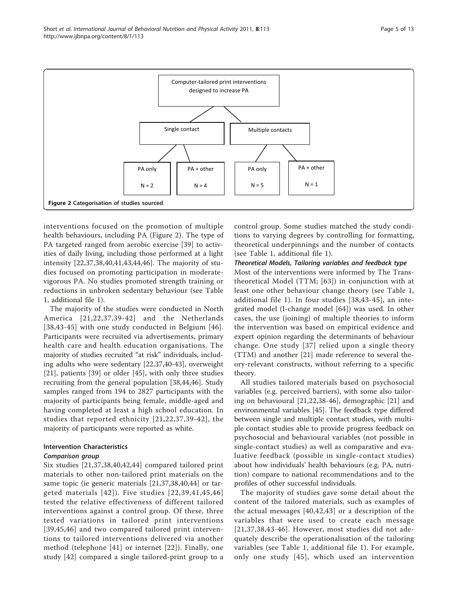<span id="page-4-0"></span>

interventions focused on the promotion of multiple health behaviours, including PA (Figure 2). The type of PA targeted ranged from aerobic exercise [[39\]](#page-11-0) to activities of daily living, including those performed at a light intensity [\[22](#page-10-0),[37,38,40](#page-11-0),[41,43,44,46](#page-11-0)]. The majority of studies focused on promoting participation in moderatevigorous PA. No studies promoted strength training or reductions in unbroken sedentary behaviour (see Table 1, additional file [1](#page-10-0)).

The majority of the studies were conducted in North America [[21](#page-10-0),[22,](#page-10-0)[37](#page-11-0),[39](#page-11-0)-[42](#page-11-0)] and the Netherlands [[38](#page-11-0),[43](#page-11-0)-[45](#page-11-0)] with one study conducted in Belgium [[46\]](#page-11-0). Participants were recruited via advertisements, primary health care and health education organisations. The majority of studies recruited "at risk" individuals, including adults who were sedentary [[22](#page-10-0),[37,40-43\]](#page-11-0), overweight [[21\]](#page-10-0), patients [\[39](#page-11-0)] or older [\[45](#page-11-0)], with only three studies recruiting from the general population [\[38](#page-11-0),[44](#page-11-0),[46\]](#page-11-0). Study samples ranged from 194 to 2827 participants with the majority of participants being female, middle-aged and having completed at least a high school education. In studies that reported ethnicity [[21](#page-10-0),[22,](#page-10-0)[37,39](#page-11-0)-[42\]](#page-11-0), the majority of participants were reported as white.

# Intervention Characteristics

# Comparison group

Six studies [\[21](#page-10-0),[37,38](#page-11-0),[40,42](#page-11-0),[44\]](#page-11-0) compared tailored print materials to other non-tailored print materials on the same topic (ie generic materials [[21](#page-10-0),[37,38,40,44](#page-11-0)] or targeted materials [[42\]](#page-11-0)). Five studies [[22,](#page-10-0)[39,41](#page-11-0),[45,46](#page-11-0)] tested the relative effectiveness of different tailored interventions against a control group. Of these, three tested variations in tailored print interventions [[39,45](#page-11-0),[46](#page-11-0)] and two compared tailored print interventions to tailored interventions delivered via another method (telephone [[41](#page-11-0)] or internet [[22\]](#page-10-0)). Finally, one study [\[42](#page-11-0)] compared a single tailored-print group to a control group. Some studies matched the study conditions to varying degrees by controlling for formatting, theoretical underpinnings and the number of contacts (see Table 1, additional file [1](#page-10-0)).

# Theoretical Models, Tailoring variables and feedback type

Most of the interventions were informed by The Transtheoretical Model (TTM; [[63](#page-11-0)]) in conjunction with at least one other behaviour change theory (see Table 1, additional file [1\)](#page-10-0). In four studies [[38](#page-11-0),[43](#page-11-0)-[45](#page-11-0)], an integrated model (I-change model [[64](#page-11-0)]) was used. In other cases, the use (joining) of multiple theories to inform the intervention was based on empirical evidence and expert opinion regarding the determinants of behaviour change. One study [[37\]](#page-11-0) relied upon a single theory (TTM) and another [\[21](#page-10-0)] made reference to several theory-relevant constructs, without referring to a specific theory.

All studies tailored materials based on psychosocial variables (e.g. perceived barriers), with some also tailoring on behavioural [[21,22,](#page-10-0)[38-46\]](#page-11-0), demographic [[21\]](#page-10-0) and environmental variables [\[45](#page-11-0)]. The feedback type differed between single and multiple contact studies, with multiple contact studies able to provide progress feedback on psychosocial and behavioural variables (not possible in single-contact studies) as well as comparative and evaluative feedback (possible in single-contact studies) about how individuals' health behaviours (e.g. PA, nutrition) compare to national recommendations and to the profiles of other successful individuals.

The majority of studies gave some detail about the content of the tailored materials, such as examples of the actual messages [[40,42,43](#page-11-0)] or a description of the variables that were used to create each message [[21,](#page-10-0)[37](#page-11-0),[38](#page-11-0),[43](#page-11-0)-[46](#page-11-0)]. However, most studies did not adequately describe the operationalisation of the tailoring variables (see Table 1, additional file [1](#page-10-0)). For example, only one study [[45](#page-11-0)], which used an intervention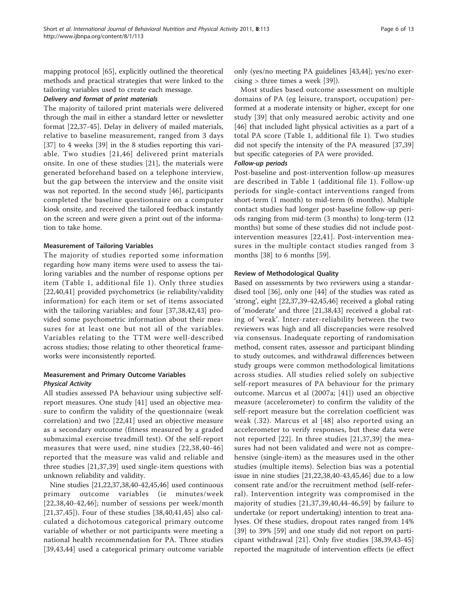mapping protocol [\[65](#page-11-0)], explicitly outlined the theoretical methods and practical strategies that were linked to the tailoring variables used to create each message.

#### Delivery and format of print materials

The majority of tailored print materials were delivered through the mail in either a standard letter or newsletter format [[22,](#page-10-0)[37-45](#page-11-0)]. Delay in delivery of mailed materials, relative to baseline measurement, ranged from 3 days [[37\]](#page-11-0) to 4 weeks [\[39](#page-11-0)] in the 8 studies reporting this variable. Two studies [[21](#page-10-0),[46\]](#page-11-0) delivered print materials onsite. In one of these studies [[21\]](#page-10-0), the materials were generated beforehand based on a telephone interview, but the gap between the interview and the onsite visit was not reported. In the second study [\[46](#page-11-0)], participants completed the baseline questionnaire on a computer kiosk onsite, and received the tailored feedback instantly on the screen and were given a print out of the information to take home.

#### Measurement of Tailoring Variables

The majority of studies reported some information regarding how many items were used to assess the tailoring variables and the number of response options per item (Table 1, additional file [1](#page-10-0)). Only three studies [[22](#page-10-0)[,40,41](#page-11-0)] provided psychometrics (ie reliability/validity information) for each item or set of items associated with the tailoring variables; and four [[37,38](#page-11-0),[42,43\]](#page-11-0) provided some psychometric information about their measures for at least one but not all of the variables. Variables relating to the TTM were well-described across studies; those relating to other theoretical frameworks were inconsistently reported.

# Measurement and Primary Outcome Variables Physical Activity

All studies assessed PA behaviour using subjective selfreport measures. One study [[41](#page-11-0)] used an objective measure to confirm the validity of the questionnaire (weak correlation) and two [\[22](#page-10-0)[,41](#page-11-0)] used an objective measure as a secondary outcome (fitness measured by a graded submaximal exercise treadmill test). Of the self-report measures that were used, nine studies [[22](#page-10-0),[38,40-46](#page-11-0)] reported that the measure was valid and reliable and three studies [[21,](#page-10-0)[37,39](#page-11-0)] used single-item questions with unknown reliability and validity.

Nine studies [\[21,22,](#page-10-0)[37,38,40-42,45,46\]](#page-11-0) used continuous primary outcome variables (ie minutes/week [[22](#page-10-0),[38](#page-11-0),[40-42,46\]](#page-11-0); number of sessions per week/month [[21](#page-10-0)[,37](#page-11-0),[45\]](#page-11-0)). Four of these studies [[38,40](#page-11-0),[41,45\]](#page-11-0) also calculated a dichotomous categorical primary outcome variable of whether or not participants were meeting a national health recommendation for PA. Three studies [[39,43,44\]](#page-11-0) used a categorical primary outcome variable only (yes/no meeting PA guidelines [[43,44](#page-11-0)]; yes/no exercising > three times a week [[39](#page-11-0)]).

Most studies based outcome assessment on multiple domains of PA (eg leisure, transport, occupation) performed at a moderate intensity or higher, except for one study [[39](#page-11-0)] that only measured aerobic activity and one [[46\]](#page-11-0) that included light physical activities as a part of a total PA score (Table 1, additional file [1\)](#page-10-0). Two studies did not specify the intensity of the PA measured [[37](#page-11-0),[39](#page-11-0)] but specific categories of PA were provided.

#### Follow-up periods

Post-baseline and post-intervention follow-up measures are described in Table 1 (additional file [1](#page-10-0)). Follow-up periods for single-contact interventions ranged from short-term (1 month) to mid-term (6 months). Multiple contact studies had longer post-baseline follow-up periods ranging from mid-term (3 months) to long-term (12 months) but some of these studies did not include postintervention measures [[22](#page-10-0),[41\]](#page-11-0). Post-intervention measures in the multiple contact studies ranged from 3 months [[38\]](#page-11-0) to 6 months [[59\]](#page-11-0).

#### Review of Methodological Quality

Based on assessments by two reviewers using a standardised tool [[36\]](#page-11-0), only one [\[44](#page-11-0)] of the studies was rated as 'strong', eight [\[22,](#page-10-0)[37,39-42,45,46\]](#page-11-0) received a global rating of 'moderate' and three [\[21](#page-10-0)[,38](#page-11-0),[43](#page-11-0)] received a global rating of 'weak'. Inter-rater-reliability between the two reviewers was high and all discrepancies were resolved via consensus. Inadequate reporting of randomisation method, consent rates, assessor and participant blinding to study outcomes, and withdrawal differences between study groups were common methodological limitations across studies. All studies relied solely on subjective self-report measures of PA behaviour for the primary outcome. Marcus et al (2007a; [\[41\]](#page-11-0)) used an objective measure (accelerometer) to confirm the validity of the self-report measure but the correlation coefficient was weak (.32). Marcus et al [[48](#page-11-0)] also reported using an accelerometer to verify responses, but these data were not reported [\[22\]](#page-10-0). In three studies [[21,](#page-10-0)[37](#page-11-0),[39\]](#page-11-0) the measures had not been validated and were not as comprehensive (single-item) as the measures used in the other studies (multiple items). Selection bias was a potential issue in nine studies [[21,22,](#page-10-0)[38,40-43](#page-11-0),[45,46\]](#page-11-0) due to a low consent rate and/or the recruitment method (self-referral). Intervention integrity was compromised in the majority of studies [[21](#page-10-0),[37,39](#page-11-0),[40,44-46,59](#page-11-0)] by failure to undertake (or report undertaking) intention to treat analyses. Of these studies, dropout rates ranged from 14% [[39\]](#page-11-0) to 39% [[59\]](#page-11-0) and one study did not report on participant withdrawal [[21](#page-10-0)]. Only five studies [\[38,39,43-45](#page-11-0)] reported the magnitude of intervention effects (ie effect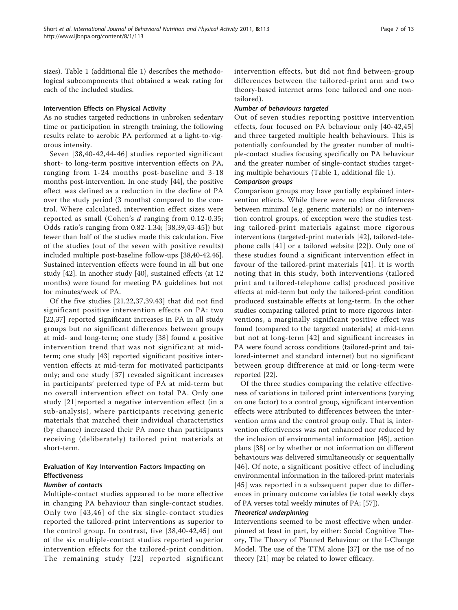sizes). Table 1 (additional file [1\)](#page-10-0) describes the methodological subcomponents that obtained a weak rating for each of the included studies.

# Intervention Effects on Physical Activity

As no studies targeted reductions in unbroken sedentary time or participation in strength training, the following results relate to aerobic PA performed at a light-to-vigorous intensity.

Seven [[38,40-42](#page-11-0),[44](#page-11-0)-[46\]](#page-11-0) studies reported significant short- to long-term positive intervention effects on PA, ranging from 1-24 months post-baseline and 3-18 months post-intervention. In one study [[44\]](#page-11-0), the positive effect was defined as a reduction in the decline of PA over the study period (3 months) compared to the control. Where calculated, intervention effect sizes were reported as small (Cohen's  $d$  ranging from 0.12-0.35; Odds ratio's ranging from 0.82-1.34; [[38,39](#page-11-0),[43-45\]](#page-11-0)) but fewer than half of the studies made this calculation. Five of the studies (out of the seven with positive results) included multiple post-baseline follow-ups [\[38,40-42,46](#page-11-0)]. Sustained intervention effects were found in all but one study [[42\]](#page-11-0). In another study [\[40\]](#page-11-0), sustained effects (at 12 months) were found for meeting PA guidelines but not for minutes/week of PA.

Of the five studies [\[21,22](#page-10-0)[,37,39,43\]](#page-11-0) that did not find significant positive intervention effects on PA: two [[22](#page-10-0)[,37](#page-11-0)] reported significant increases in PA in all study groups but no significant differences between groups at mid- and long-term; one study [[38\]](#page-11-0) found a positive intervention trend that was not significant at midterm; one study [[43\]](#page-11-0) reported significant positive intervention effects at mid-term for motivated participants only; and one study [[37](#page-11-0)] revealed significant increases in participants' preferred type of PA at mid-term but no overall intervention effect on total PA. Only one study [[21\]](#page-10-0)reported a negative intervention effect (in a sub-analysis), where participants receiving generic materials that matched their individual characteristics (by chance) increased their PA more than participants receiving (deliberately) tailored print materials at short-term.

# Evaluation of Key Intervention Factors Impacting on Effectiveness

# Number of contacts

Multiple-contact studies appeared to be more effective in changing PA behaviour than single-contact studies. Only two [[43,46\]](#page-11-0) of the six single-contact studies reported the tailored-print interventions as superior to the control group. In contrast, five [[38](#page-11-0),[40-42](#page-11-0),[45](#page-11-0)] out of the six multiple-contact studies reported superior intervention effects for the tailored-print condition. The remaining study [[22\]](#page-10-0) reported significant intervention effects, but did not find between-group differences between the tailored-print arm and two theory-based internet arms (one tailored and one nontailored).

# Number of behaviours targeted

Out of seven studies reporting positive intervention effects, four focused on PA behaviour only [\[40-42,45](#page-11-0)] and three targeted multiple health behaviours. This is potentially confounded by the greater number of multiple-contact studies focusing specifically on PA behaviour and the greater number of single-contact studies targeting multiple behaviours (Table 1, additional file [1](#page-10-0)).

# Comparison groups

Comparison groups may have partially explained intervention effects. While there were no clear differences between minimal (e.g. generic materials) or no intervention control groups, of exception were the studies testing tailored-print materials against more rigorous interventions (targeted-print materials [[42](#page-11-0)], tailored-telephone calls [\[41](#page-11-0)] or a tailored website [[22\]](#page-10-0)). Only one of these studies found a significant intervention effect in favour of the tailored-print materials [[41](#page-11-0)]. It is worth noting that in this study, both interventions (tailored print and tailored-telephone calls) produced positive effects at mid-term but only the tailored-print condition produced sustainable effects at long-term. In the other studies comparing tailored print to more rigorous interventions, a marginally significant positive effect was found (compared to the targeted materials) at mid-term but not at long-term [[42\]](#page-11-0) and significant increases in PA were found across conditions (tailored-print and tailored-internet and standard internet) but no significant between group diffrerence at mid or long-term were reported [[22\]](#page-10-0).

Of the three studies comparing the relative effectiveness of variations in tailored print interventions (varying on one factor) to a control group, significant intervention effects were attributed to differences between the intervention arms and the control group only. That is, intervention effectiveness was not enhanced nor reduced by the inclusion of environmental information [[45](#page-11-0)], action plans [[38](#page-11-0)] or by whether or not information on different behaviours was delivered simultaneously or sequentially [[46\]](#page-11-0). Of note, a significant positive effect of including environmental information in the tailored-print materials [[45](#page-11-0)] was reported in a subsequent paper due to differences in primary outcome variables (ie total weekly days of PA verses total weekly minutes of PA; [\[57](#page-11-0)]).

# Theoretical underpinning

Interventions seemed to be most effective when underpinned at least in part, by either: Social Cognitive Theory, The Theory of Planned Behaviour or the I-Change Model. The use of the TTM alone [[37\]](#page-11-0) or the use of no theory [\[21\]](#page-10-0) may be related to lower efficacy.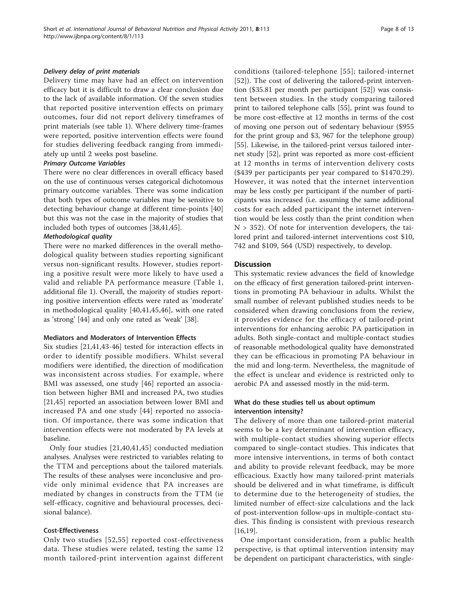### Delivery delay of print materials

Delivery time may have had an effect on intervention efficacy but it is difficult to draw a clear conclusion due to the lack of available information. Of the seven studies that reported positive intervention effects on primary outcomes, four did not report delivery timeframes of print materials (see table 1). Where delivery time-frames were reported, positive intervention effects were found for studies delivering feedback ranging from immediately up until 2 weeks post baseline.

# Primary Outcome Variables

There were no clear differences in overall efficacy based on the use of continuous verses categorical dichotomous primary outcome variables. There was some indication that both types of outcome variables may be sensitive to detecting behaviour change at different time-points [[40](#page-11-0)] but this was not the case in the majority of studies that included both types of outcomes [[38](#page-11-0),[41,45](#page-11-0)].

#### Methodological quality

There were no marked differences in the overall methodological quality between studies reporting significant versus non-significant results. However, studies reporting a positive result were more likely to have used a valid and reliable PA performance measure (Table 1, additional file [1](#page-10-0)). Overall, the majority of studies reporting positive intervention effects were rated as 'moderate' in methodological quality [[40,41,45,46](#page-11-0)], with one rated as 'strong' [\[44\]](#page-11-0) and only one rated as 'weak' [\[38](#page-11-0)].

# Mediators and Moderators of Intervention Effects

Six studies [[21,](#page-10-0)[41,43-46](#page-11-0)] tested for interaction effects in order to identify possible modifiers. Whilst several modifiers were identified, the direction of modification was inconsistent across studies. For example, where BMI was assessed, one study [[46](#page-11-0)] reported an association between higher BMI and increased PA, two studies [[21,](#page-10-0)[45](#page-11-0)] reported an association between lower BMI and increased PA and one study [[44](#page-11-0)] reported no association. Of importance, there was some indication that intervention effects were not moderated by PA levels at baseline.

Only four studies [[21](#page-10-0),[40,41](#page-11-0),[45\]](#page-11-0) conducted mediation analyses. Analyses were restricted to variables relating to the TTM and perceptions about the tailored materials. The results of these analyses were inconclusive and provide only minimal evidence that PA increases are mediated by changes in constructs from the TTM (ie self-efficacy, cognitive and behavioural processes, decisional balance).

#### Cost-Effectiveness

Only two studies [[52,55\]](#page-11-0) reported cost-effectiveness data. These studies were related, testing the same 12 month tailored-print intervention against different conditions (tailored-telephone [[55\]](#page-11-0); tailored-internet [[52\]](#page-11-0)). The cost of delivering the tailored-print intervention (\$35.81 per month per participant [\[52\]](#page-11-0)) was consistent between studies. In the study comparing tailored print to tailored telephone calls [\[55](#page-11-0)], print was found to be more cost-effective at 12 months in terms of the cost of moving one person out of sedentary behaviour (\$955 for the print group and \$3, 967 for the telephone group) [[55\]](#page-11-0). Likewise, in the tailored-print versus tailored internet study [[52\]](#page-11-0), print was reported as more cost-efficient at 12 months in terms of intervention delivery costs (\$439 per participants per year compared to \$1470.29). However, it was noted that the internet intervention may be less costly per participant if the number of participants was increased (i.e. assuming the same additional costs for each added participant the internet intervention would be less costly than the print condition when  $N > 352$ ). Of note for intervention developers, the tailored print and tailored-internet interventions cost \$10, 742 and \$109, 564 (USD) respectively, to develop.

# **Discussion**

This systematic review advances the field of knowledge on the efficacy of first generation tailored-print interventions in promoting PA behaviour in adults. Whilst the small number of relevant published studies needs to be considered when drawing conclusions from the review, it provides evidence for the efficacy of tailored-print interventions for enhancing aerobic PA participation in adults. Both single-contact and multiple-contact studies of reasonable methodological quality have demonstrated they can be efficacious in promoting PA behaviour in the mid and long-term. Nevertheless, the magnitude of the effect is unclear and evidence is restricted only to aerobic PA and assessed mostly in the mid-term.

# What do these studies tell us about optimum intervention intensity?

The delivery of more than one tailored-print material seems to be a key determinant of intervention efficacy, with multiple-contact studies showing superior effects compared to single-contact studies. This indicates that more intensive interventions, in terms of both contact and ability to provide relevant feedback, may be more efficacious. Exactly how many tailored-print materials should be delivered and in what timeframe, is difficult to determine due to the heterogeneity of studies, the limited number of effect-size calculations and the lack of post-intervention follow-ups in multiple-contact studies. This finding is consistent with previous research [[16,19\]](#page-10-0).

One important consideration, from a public health perspective, is that optimal intervention intensity may be dependent on participant characteristics, with single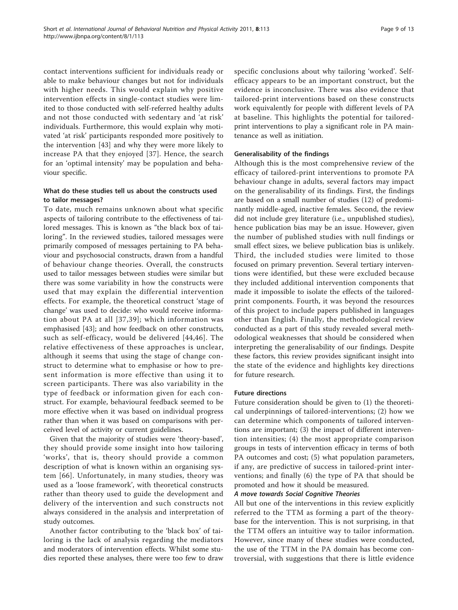contact interventions sufficient for individuals ready or able to make behaviour changes but not for individuals with higher needs. This would explain why positive intervention effects in single-contact studies were limited to those conducted with self-referred healthy adults and not those conducted with sedentary and 'at risk' individuals. Furthermore, this would explain why motivated 'at risk' participants responded more positively to the intervention [\[43](#page-11-0)] and why they were more likely to increase PA that they enjoyed [[37\]](#page-11-0). Hence, the search for an 'optimal intensity' may be population and behaviour specific.

# What do these studies tell us about the constructs used to tailor messages?

To date, much remains unknown about what specific aspects of tailoring contribute to the effectiveness of tailored messages. This is known as "the black box of tailoring". In the reviewed studies, tailored messages were primarily composed of messages pertaining to PA behaviour and psychosocial constructs, drawn from a handful of behaviour change theories. Overall, the constructs used to tailor messages between studies were similar but there was some variability in how the constructs were used that may explain the differential intervention effects. For example, the theoretical construct 'stage of change' was used to decide: who would receive information about PA at all [[37,39](#page-11-0)]; which information was emphasised [[43](#page-11-0)]; and how feedback on other constructs, such as self-efficacy, would be delivered [[44](#page-11-0),[46](#page-11-0)]. The relative effectiveness of these approaches is unclear, although it seems that using the stage of change construct to determine what to emphasise or how to present information is more effective than using it to screen participants. There was also variability in the type of feedback or information given for each construct. For example, behavioural feedback seemed to be more effective when it was based on individual progress rather than when it was based on comparisons with perceived level of activity or current guidelines.

Given that the majority of studies were 'theory-based', they should provide some insight into how tailoring 'works', that is, theory should provide a common description of what is known within an organising system [\[66\]](#page-11-0). Unfortunately, in many studies, theory was used as a 'loose framework', with theoretical constructs rather than theory used to guide the development and delivery of the intervention and such constructs not always considered in the analysis and interpretation of study outcomes.

Another factor contributing to the 'black box' of tailoring is the lack of analysis regarding the mediators and moderators of intervention effects. Whilst some studies reported these analyses, there were too few to draw specific conclusions about why tailoring 'worked'. Selfefficacy appears to be an important construct, but the evidence is inconclusive. There was also evidence that tailored-print interventions based on these constructs work equivalently for people with different levels of PA at baseline. This highlights the potential for tailoredprint interventions to play a significant role in PA maintenance as well as initiation.

# Generalisability of the findings

Although this is the most comprehensive review of the efficacy of tailored-print interventions to promote PA behaviour change in adults, several factors may impact on the generalisability of its findings. First, the findings are based on a small number of studies (12) of predominantly middle-aged, inactive females. Second, the review did not include grey literature (i.e., unpublished studies), hence publication bias may be an issue. However, given the number of published studies with null findings or small effect sizes, we believe publication bias is unlikely. Third, the included studies were limited to those focused on primary prevention. Several tertiary interventions were identified, but these were excluded because they included additional intervention components that made it impossible to isolate the effects of the tailoredprint components. Fourth, it was beyond the resources of this project to include papers published in languages other than English. Finally, the methodological review conducted as a part of this study revealed several methodological weaknesses that should be considered when interpreting the generalisability of our findings. Despite these factors, this review provides significant insight into the state of the evidence and highlights key directions for future research.

# Future directions

Future consideration should be given to (1) the theoretical underpinnings of tailored-interventions; (2) how we can determine which components of tailored interventions are important; (3) the impact of different intervention intensities; (4) the most appropriate comparison groups in tests of intervention efficacy in terms of both PA outcomes and cost; (5) what population parameters, if any, are predictive of success in tailored-print interventions; and finally (6) the type of PA that should be promoted and how it should be measured.

# A move towards Social Cognitive Theories

All but one of the interventions in this review explicitly referred to the TTM as forming a part of the theorybase for the intervention. This is not surprising, in that the TTM offers an intuitive way to tailor information. However, since many of these studies were conducted, the use of the TTM in the PA domain has become controversial, with suggestions that there is little evidence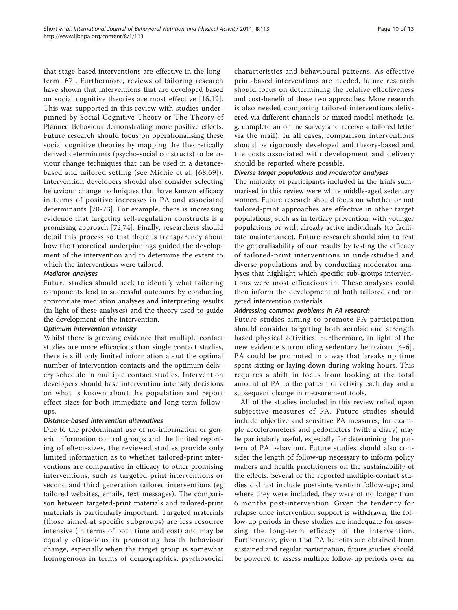that stage-based interventions are effective in the longterm [\[67\]](#page-11-0). Furthermore, reviews of tailoring research have shown that interventions that are developed based on social cognitive theories are most effective [[16](#page-10-0),[19\]](#page-10-0). This was supported in this review with studies underpinned by Social Cognitive Theory or The Theory of Planned Behaviour demonstrating more positive effects. Future research should focus on operationalising these social cognitive theories by mapping the theoretically derived determinants (psycho-social constructs) to behaviour change techniques that can be used in a distancebased and tailored setting (see Michie et al. [[68](#page-12-0),[69](#page-12-0)]). Intervention developers should also consider selecting behaviour change techniques that have known efficacy in terms of positive increases in PA and associated determinants [[70-73\]](#page-12-0). For example, there is increasing evidence that targeting self-regulation constructs is a promising approach [[72,74\]](#page-12-0). Finally, researchers should detail this process so that there is transparency about how the theoretical underpinnings guided the development of the intervention and to determine the extent to which the interventions were tailored.

# Mediator analyses

Future studies should seek to identify what tailoring components lead to successful outcomes by conducting appropriate mediation analyses and interpreting results (in light of these analyses) and the theory used to guide the development of the intervention.

# Optimum intervention intensity

Whilst there is growing evidence that multiple contact studies are more efficacious than single contact studies, there is still only limited information about the optimal number of intervention contacts and the optimum delivery schedule in multiple contact studies. Intervention developers should base intervention intensity decisions on what is known about the population and report effect sizes for both immediate and long-term followups.

# Distance-based intervention alternatives

Due to the predominant use of no-information or generic information control groups and the limited reporting of effect-sizes, the reviewed studies provide only limited information as to whether tailored-print interventions are comparative in efficacy to other promising interventions, such as targeted-print interventions or second and third generation tailored interventions (eg tailored websites, emails, text messages). The comparison between targeted-print materials and tailored-print materials is particularly important. Targeted materials (those aimed at specific subgroups) are less resource intensive (in terms of both time and cost) and may be equally efficacious in promoting health behaviour change, especially when the target group is somewhat homogenous in terms of demographics, psychosocial characteristics and behavioural patterns. As effective print-based interventions are needed, future research should focus on determining the relative effectiveness and cost-benefit of these two approaches. More research is also needed comparing tailored interventions delivered via different channels or mixed model methods (e. g. complete an online survey and receive a tailored letter via the mail). In all cases, comparison interventions should be rigorously developed and theory-based and the costs associated with development and delivery should be reported where possible.

# Diverse target populations and moderator analyses

The majority of participants included in the trials summarised in this review were white middle-aged sedentary women. Future research should focus on whether or not tailored-print approaches are effective in other target populations, such as in tertiary prevention, with younger populations or with already active individuals (to facilitate maintenance). Future research should aim to test the generalisability of our results by testing the efficacy of tailored-print interventions in understudied and diverse populations and by conducting moderator analyses that highlight which specific sub-groups interventions were most efficacious in. These analyses could then inform the development of both tailored and targeted intervention materials.

# Addressing common problems in PA research

Future studies aiming to promote PA participation should consider targeting both aerobic and strength based physical activities. Furthermore, in light of the new evidence surrounding sedentary behaviour [[4-6\]](#page-10-0), PA could be promoted in a way that breaks up time spent sitting or laying down during waking hours. This requires a shift in focus from looking at the total amount of PA to the pattern of activity each day and a subsequent change in measurement tools.

All of the studies included in this review relied upon subjective measures of PA. Future studies should include objective and sensitive PA measures; for example accelerometers and pedometers (with a diary) may be particularly useful, especially for determining the pattern of PA behaviour. Future studies should also consider the length of follow-up necessary to inform policy makers and health practitioners on the sustainability of the effects. Several of the reported multiple-contact studies did not include post-intervention follow-ups; and where they were included, they were of no longer than 6 months post-intervention. Given the tendency for relapse once intervention support is withdrawn, the follow-up periods in these studies are inadequate for assessing the long-term efficacy of the intervention. Furthermore, given that PA benefits are obtained from sustained and regular participation, future studies should be powered to assess multiple follow-up periods over an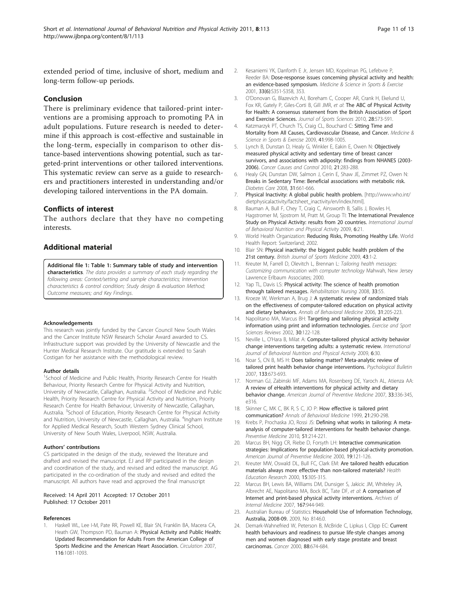<span id="page-10-0"></span>extended period of time, inclusive of short, medium and long-term follow-up periods.

# Conclusion

There is preliminary evidence that tailored-print interventions are a promising approach to promoting PA in adult populations. Future research is needed to determine if this approach is cost-effective and sustainable in the long-term, especially in comparison to other distance-based interventions showing potential, such as targeted-print interventions or other tailored interventions. This systematic review can serve as a guide to researchers and practitioners interested in understanding and/or developing tailored interventions in the PA domain.

# Conflicts of interest

The authors declare that they have no competing interests.

# Additional material

[Additional file 1: T](http://www.biomedcentral.com/content/supplementary/1479-5868-8-113-S1.DOCX)able 1: Summary table of study and intervention characteristics. The data provides a summary of each study regarding the following areas: Context/setting and sample characteristics; Intervention characteristics & control condition; Study design & evaluation Method; Outcome measures; and Key Findings.

#### Acknowledgements

This research was jointly funded by the Cancer Council New South Wales and the Cancer Institute NSW Research Scholar Award awarded to CS. Infrastructure support was provided by the University of Newcastle and the Hunter Medical Research Institute. Our gratitude is extended to Sarah Costigan for her assistance with the methodological review.

#### Author details

<sup>1</sup>School of Medicine and Public Health, Priority Research Centre for Health Behaviour, Priority Research Centre for Physical Activity and Nutrition, University of Newcastle, Callaghan, Australia. <sup>2</sup>School of Medicine and Public Health, Priority Research Centre for Physical Activity and Nutrition, Priority Research Centre for Health Behaviour, University of Newcastle, Callaghan, Australia. <sup>3</sup>School of Education, Priority Research Centre for Physical Activity and Nutrition, University of Newcastle, Callaghan, Australia. <sup>4</sup>Ingham Institute for Applied Medical Research, South Western Sydney Clinical School, University of New South Wales, Liverpool, NSW, Australia.

#### Authors' contributions

CS participated in the design of the study, reviewed the literature and drafted and revised the manuscript. EJ and RP participated in the design and coordination of the study, and revised and edited the manuscript. AG participated in the co-ordination of the study and revised and edited the manuscript. All authors have read and approved the final manuscript

#### Received: 14 April 2011 Accepted: 17 October 2011 Published: 17 October 2011

#### References

1. Haskell WL, Lee I-M, Pate RR, Powell KE, Blair SN, Franklin BA, Macera CA, Heath GW, Thompson PD, Bauman A: [Physical Activity and Public Health:](http://www.ncbi.nlm.nih.gov/pubmed/17671237?dopt=Abstract) [Updated Recommendation for Adults From the American College of](http://www.ncbi.nlm.nih.gov/pubmed/17671237?dopt=Abstract) [Sports Medicine and the American Heart Association.](http://www.ncbi.nlm.nih.gov/pubmed/17671237?dopt=Abstract) Circulation 2007, 116:1081-1093.

- 2. Kesaniemi YK, Danforth E Jr, Jensen MD, Kopelman PG, Lefebvre P, Reeder BA: [Dose-response issues concerning physical activity and health:](http://www.ncbi.nlm.nih.gov/pubmed/22013612?dopt=Abstract) [an evidence-based symposium.](http://www.ncbi.nlm.nih.gov/pubmed/22013612?dopt=Abstract) Medicine & Science in Sports & Exercise 2001, 33(6):S351-S358, 353.
- 3. O'Donovan G, Blazevich AJ, Boreham C, Cooper AR, Crank H, Ekelund U, Fox KR, Gately P, Giles-Corti B, Gill JMR, et al: [The ABC of Physical Activity](http://www.ncbi.nlm.nih.gov/pubmed/20401789?dopt=Abstract) [for Health: A consensus statement from the British Association of Sport](http://www.ncbi.nlm.nih.gov/pubmed/20401789?dopt=Abstract) [and Exercise Sciences.](http://www.ncbi.nlm.nih.gov/pubmed/20401789?dopt=Abstract) Journal of Sports Sciences 2010, 28:573-591.
- 4. Katzmarzyk PT, Church TS, Craig CL, Bouchard C: [Sitting Time and](http://www.ncbi.nlm.nih.gov/pubmed/22013612?dopt=Abstract) [Mortality from All Causes, Cardiovascular Disease, and Cancer.](http://www.ncbi.nlm.nih.gov/pubmed/22013612?dopt=Abstract) Medicine & Science in Sports & Exercise 2009, 41:998-1005.
- 5. Lynch B, Dunstan D, Healy G, Winkler E, Eakin E, Owen N: [Objectively](http://www.ncbi.nlm.nih.gov/pubmed/19882359?dopt=Abstract) [measured physical activity and sedentary time of breast cancer](http://www.ncbi.nlm.nih.gov/pubmed/19882359?dopt=Abstract) [survivors, and associations with adiposity: findings from NHANES \(2003-](http://www.ncbi.nlm.nih.gov/pubmed/19882359?dopt=Abstract) [2006\).](http://www.ncbi.nlm.nih.gov/pubmed/19882359?dopt=Abstract) Cancer Causes and Control 2010, 21:283-288.
- 6. Healy GN, Dunstan DW, Salmon J, Cerin E, Shaw JE, Zimmet PZ, Owen N: [Breaks in Sedentary Time: Beneficial associations with metabolic risk.](http://www.ncbi.nlm.nih.gov/pubmed/18252901?dopt=Abstract) Diabetes Care 2008, 31:661-666.
- 7. Physical Inactivity: A global public health problem. [\[http://www.who.int/](http://www.who.int/dietphysicalactivity/factsheet_inactivity/en/index.html) [dietphysicalactivity/factsheet\\_inactivity/en/index.html](http://www.who.int/dietphysicalactivity/factsheet_inactivity/en/index.html)].
- 8. Bauman A, Bull F, Chey T, Craig C, Ainsworth B, Sallis J, Bowles H, Hagstromer M, Sjostrom M, Pratt M, Group TI: [The International Prevalence](http://www.ncbi.nlm.nih.gov/pubmed/19335883?dopt=Abstract) [Study on Physical Activity: results from 20 countries.](http://www.ncbi.nlm.nih.gov/pubmed/19335883?dopt=Abstract) International Journal of Behavioral Nutrition and Physical Activity 2009, 6:21.
- 9. World Health Organization: Reducing Risks, Promoting Healthy Life. World Health Report: Switzerland; 2002.
- 10. Blair SN: [Physical inactivity: the biggest public health problem of the](http://www.ncbi.nlm.nih.gov/pubmed/19136507?dopt=Abstract) [21st century.](http://www.ncbi.nlm.nih.gov/pubmed/19136507?dopt=Abstract) British Journal of Sports Medicine 2009, 43:1-2.
- 11. Kreuter M, Farrell D, Olevitch L, Brennan L: Tailoring health messages: Customizing communication with computer technology Mahwah, New Jersey Lawrence Erlbaum Associates; 2000.
- 12. Yap TL, Davis LS: [Physical activity: The science of health promotion](http://www.ncbi.nlm.nih.gov/pubmed/18330383?dopt=Abstract) [through tailored messages.](http://www.ncbi.nlm.nih.gov/pubmed/18330383?dopt=Abstract) Rehabilitation Nursing 2008, 33:55.
- 13. Kroeze W, Werkman A, Brug J: [A systematic review of randomized trials](http://www.ncbi.nlm.nih.gov/pubmed/16700634?dopt=Abstract) [on the effectiveness of computer-tailored education on physical activity](http://www.ncbi.nlm.nih.gov/pubmed/16700634?dopt=Abstract) [and dietary behaviors.](http://www.ncbi.nlm.nih.gov/pubmed/16700634?dopt=Abstract) Annals of Behavioral Medicine 2006, 31:205-223.
- 14. Napolitano MA, Marcus BH: [Targeting and tailoring physical activity](http://www.ncbi.nlm.nih.gov/pubmed/12150571?dopt=Abstract) [information using print and information technologies.](http://www.ncbi.nlm.nih.gov/pubmed/12150571?dopt=Abstract) Exercise and Sport Sciences Reviews 2002, 30:122-128.
- 15. Neville L, O'Hara B, Milat A: [Computer-tailored physical activity behavior](http://www.ncbi.nlm.nih.gov/pubmed/19490649?dopt=Abstract) [change interventions targeting adults: a systematic review.](http://www.ncbi.nlm.nih.gov/pubmed/19490649?dopt=Abstract) International Journal of Behavioral Nutrition and Physical Activity 2009, 6:30.
- 16. Noar S, CN B, MS H: [Does tailoring matter? Meta-analytic review of](http://www.ncbi.nlm.nih.gov/pubmed/17592961?dopt=Abstract) [tailored print health behavior change interventions.](http://www.ncbi.nlm.nih.gov/pubmed/17592961?dopt=Abstract) Psychological Bulletin 2007, 133:673-693.
- 17. Norman GJ, Zabinski MF, Adams MA, Rosenberg DE, Yaroch AL, Atienza AA: [A review of eHealth interventions for physical activity and dietary](http://www.ncbi.nlm.nih.gov/pubmed/17888860?dopt=Abstract) [behavior change.](http://www.ncbi.nlm.nih.gov/pubmed/17888860?dopt=Abstract) American Journal of Preventive Medicine 2007, 33:336-345, e316.
- 18. Skinner C, MK C, BK R, S C, JO P: [How effective is tailored print](http://www.ncbi.nlm.nih.gov/pubmed/10721435?dopt=Abstract) [communication?](http://www.ncbi.nlm.nih.gov/pubmed/10721435?dopt=Abstract) Annals of Behavioral Medicine 1999, 21:290-298.
- 19. Krebs P, Prochaska JO, Rossi JS: [Defining what works in tailoring: A meta](http://www.ncbi.nlm.nih.gov/pubmed/20558196?dopt=Abstract)[analysis of computer-tailored interventions for health behavior change.](http://www.ncbi.nlm.nih.gov/pubmed/20558196?dopt=Abstract) Preventive Medicine 2010, 51:214-221.
- 20. Marcus BH, Nigg CR, Riebe D, Forsyth LH: [Interactive communication](http://www.ncbi.nlm.nih.gov/pubmed/10913903?dopt=Abstract) [strategies: Implications for population-based physical-activity promotion.](http://www.ncbi.nlm.nih.gov/pubmed/10913903?dopt=Abstract) American Journal of Preventive Medicine 2000, 19:121-126.
- 21. Kreuter MW, Oswald DL, Bull FC, Clark EM: [Are tailored health education](http://www.ncbi.nlm.nih.gov/pubmed/10977378?dopt=Abstract) [materials always more effective than non-tailored materials?](http://www.ncbi.nlm.nih.gov/pubmed/10977378?dopt=Abstract) Health Education Research 2000, 15:305-315.
- 22. Marcus BH, Lewis BA, Williams DM, Dunsiger S, Jakicic JM, Whiteley JA, Albrecht AE, Napolitano MA, Bock BC, Tate DF, et al: [A comparison of](http://www.ncbi.nlm.nih.gov/pubmed/17502536?dopt=Abstract) [Internet and print-based physical activity interventions.](http://www.ncbi.nlm.nih.gov/pubmed/17502536?dopt=Abstract) Archives of Internal Medicine 2007, 167:944-949.
- 23. Australian Bureau of Statistics: Household Use of Information Technology, Australia, 2008-09. 2009, No 8146.0.
- 24. Demark-Wahnefried W, Peterson B, McBride C, Lipkus I, Clipp EC: [Current](http://www.ncbi.nlm.nih.gov/pubmed/10649263?dopt=Abstract) [health behaviours and readiness to pursue life-style changes among](http://www.ncbi.nlm.nih.gov/pubmed/10649263?dopt=Abstract) [men and women diagnosed with early stage prostate and breast](http://www.ncbi.nlm.nih.gov/pubmed/10649263?dopt=Abstract) [carcinomas.](http://www.ncbi.nlm.nih.gov/pubmed/10649263?dopt=Abstract) Cancer 2000, 88:674-684.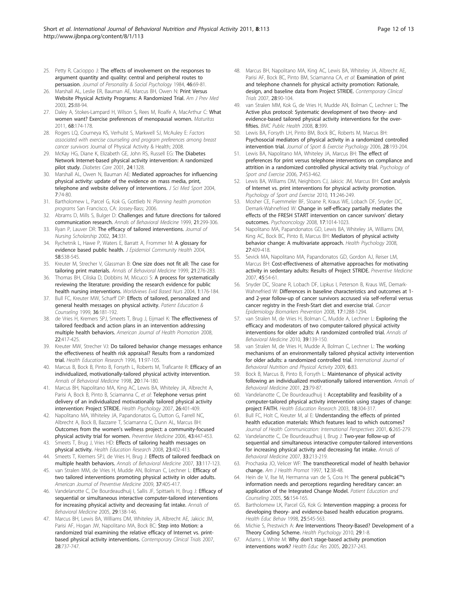- <span id="page-11-0"></span>25. Petty R, Cacioppo J: [The effects of involvement on the responses to](http://www.ncbi.nlm.nih.gov/pubmed/21967202?dopt=Abstract) [argument quantity and quality: central and peripheral routes to](http://www.ncbi.nlm.nih.gov/pubmed/21967202?dopt=Abstract) [persuasion.](http://www.ncbi.nlm.nih.gov/pubmed/21967202?dopt=Abstract) Journal of Personality & Social Psychology 1984, 46:69-81.
- 26. Marshall AL, Leslie ER, Bauman AE, Marcus BH, Owen N: [Print Versus](http://www.ncbi.nlm.nih.gov/pubmed/12880874?dopt=Abstract) [Website Physical Activity Programs: A Randomized Trial.](http://www.ncbi.nlm.nih.gov/pubmed/12880874?dopt=Abstract) Am J Prev Med 2003, 25:88-94.
- 27. Daley A, Stokes-Lampard H, Wilson S, Rees M, Roalfe A, MacArthur C: [What](http://www.ncbi.nlm.nih.gov/pubmed/21168292?dopt=Abstract) [women want? Exercise preferences of menopausal women.](http://www.ncbi.nlm.nih.gov/pubmed/21168292?dopt=Abstract) Maturitas 2011, 68:174-178.
- 28. Rogers LQ, Courneya KS, Verhulst S, Markwell SJ, McAuley E: Factors associated with exercise counseling and program preferences among breast cancer survivors Journal of Physical Activity & Health; 2008.
- 29. McKay HG, Diane K, Elizabeth GE, John RS, Russell EG: [The Diabetes](http://www.ncbi.nlm.nih.gov/pubmed/11473065?dopt=Abstract) [Network Internet-based physical activity intervention: A randomized](http://www.ncbi.nlm.nih.gov/pubmed/11473065?dopt=Abstract) [pilot study.](http://www.ncbi.nlm.nih.gov/pubmed/11473065?dopt=Abstract) Diabetes Care 2001, 24:1328.
- 30. Marshall AL, Owen N, Bauman AE: [Mediated approaches for influencing](http://www.ncbi.nlm.nih.gov/pubmed/15214605?dopt=Abstract) [physical activity: update of the evidence on mass media, print,](http://www.ncbi.nlm.nih.gov/pubmed/15214605?dopt=Abstract) [telephone and website delivery of interventions.](http://www.ncbi.nlm.nih.gov/pubmed/15214605?dopt=Abstract) J Sci Med Sport 2004, 7:74-80.
- 31. Bartholomew L, Parcel G, Kok G, Gottlieb N: Planning health promotion programs San Francisco, CA: Jossey-Bass; 2006.
- 32. Abrams D, Mills S, Bulger D: [Challenges and future directions for tailored](http://www.ncbi.nlm.nih.gov/pubmed/10721436?dopt=Abstract) [communication research.](http://www.ncbi.nlm.nih.gov/pubmed/10721436?dopt=Abstract) Annals of Behavioral Medicine 1999, 21:299-306.
- 33. Ryan P, Lauver DR: [The efficacy of tailored interventions.](http://www.ncbi.nlm.nih.gov/pubmed/12501736?dopt=Abstract) Journal of Nursing Scholarship 2002, 34:331.
- 34. Rychetnik L, Hawe P, Waters E, Barratt A, Frommer M: [A glossary for](http://www.ncbi.nlm.nih.gov/pubmed/15194712?dopt=Abstract) [evidence based public health.](http://www.ncbi.nlm.nih.gov/pubmed/15194712?dopt=Abstract) J Epidemiol Community Health 2004, 58:538-545.
- 35. Kreuter M, Strecher V, Glassman B: [One size does not fit all: The case for](http://www.ncbi.nlm.nih.gov/pubmed/10721433?dopt=Abstract) [tailoring print materials.](http://www.ncbi.nlm.nih.gov/pubmed/10721433?dopt=Abstract) Annals of Behavioral Medicine 1999, 21:276-283.
- 36. Thomas BH, Ciliska D, Dobbins M, Micucci S: [A process for systematically](http://www.ncbi.nlm.nih.gov/pubmed/17163895?dopt=Abstract) [reviewing the literature: providing the research evidence for public](http://www.ncbi.nlm.nih.gov/pubmed/17163895?dopt=Abstract) [health nursing interventions.](http://www.ncbi.nlm.nih.gov/pubmed/17163895?dopt=Abstract) Worldviews Evid Based Nurs 2004, 1:176-184.
- 37. Bull FC, Kreuter MW, Scharff DP: [Effects of tailored, personalized and](http://www.ncbi.nlm.nih.gov/pubmed/22013524?dopt=Abstract) [general health messages on physical activity.](http://www.ncbi.nlm.nih.gov/pubmed/22013524?dopt=Abstract) Patient Education & Counseling 1999, 36:181-192.
- 38. de Vries H, Kremers SPJ, Smeets T, Brug J, Eijmael K: [The effectiveness of](http://www.ncbi.nlm.nih.gov/pubmed/18677882?dopt=Abstract) [tailored feedback and action plans in an intervention addressing](http://www.ncbi.nlm.nih.gov/pubmed/18677882?dopt=Abstract) [multiple health behaviors.](http://www.ncbi.nlm.nih.gov/pubmed/18677882?dopt=Abstract) American Journal of Health Promotion 2008, 22:417-425.
- 39. Kreuter MW, Strecher VJ: [Do tailored behavior change messages enhance](http://www.ncbi.nlm.nih.gov/pubmed/10160231?dopt=Abstract) [the effectiveness of health risk appraisal? Results from a randomized](http://www.ncbi.nlm.nih.gov/pubmed/10160231?dopt=Abstract) [trial.](http://www.ncbi.nlm.nih.gov/pubmed/10160231?dopt=Abstract) Health Education Research 1996, 11:97-105.
- 40. Marcus B, Bock B, Pinto B, Forsyth L, Roberts M, Traficante R: [Efficacy of an](http://www.ncbi.nlm.nih.gov/pubmed/9989324?dopt=Abstract) [individualized, motivationally-tailored physical activity intervention.](http://www.ncbi.nlm.nih.gov/pubmed/9989324?dopt=Abstract) Annals of Behavioral Medicine 1998, 20:174-180.
- 41. Marcus BH, Napolitano MA, King AC, Lewis BA, Whiteley JA, Albrecht A, Parisi A, Bock B, Pinto B, Sciamanna C, et al: [Telephone versus print](http://www.ncbi.nlm.nih.gov/pubmed/17605559?dopt=Abstract) [delivery of an individualized motivationally tailored physical activity](http://www.ncbi.nlm.nih.gov/pubmed/17605559?dopt=Abstract) [intervention: Project STRIDE.](http://www.ncbi.nlm.nih.gov/pubmed/17605559?dopt=Abstract) Health Psychology 2007, 26:401-409.
- 42. Napolitano MA, Whiteley JA, Papandonatos G, Dutton G, Farrell NC, Albrecht A, Bock B, Bazzarre T, Sciamanna C, Dunn AL, Marcus BH: Outcomes from the women'[s wellness project: a community-focused](http://www.ncbi.nlm.nih.gov/pubmed/16919322?dopt=Abstract) [physical activity trial for women.](http://www.ncbi.nlm.nih.gov/pubmed/16919322?dopt=Abstract) Preventive Medicine 2006, 43:447-453.
- 43. Smeets T, Brug J, Vries HD: [Effects of tailoring health messages on](http://www.ncbi.nlm.nih.gov/pubmed/17032705?dopt=Abstract) [physical activity.](http://www.ncbi.nlm.nih.gov/pubmed/17032705?dopt=Abstract) Health Education Research 2008, 23:402-413.
- 44. Smeets T, Kremers SPJ, de Vries H, Brug J: [Effects of tailored feedback on](http://www.ncbi.nlm.nih.gov/pubmed/17447863?dopt=Abstract) [multiple health behaviors.](http://www.ncbi.nlm.nih.gov/pubmed/17447863?dopt=Abstract) Annals of Behavioral Medicine 2007, 33:117-123.
- 45. van Stralen MM, de Vries H, Mudde AN, Bolman C, Lechner L; [Efficacy of](http://www.ncbi.nlm.nih.gov/pubmed/19840695?dopt=Abstract) [two tailored interventions promoting physical activity in older adults.](http://www.ncbi.nlm.nih.gov/pubmed/19840695?dopt=Abstract) American Journal of Preventive Medicine 2009, 37:405-417.
- 46. Vandelanotte C, De Bourdeaudhuij I, Sallis JF, Spittaels H, Brug J: [Efficacy of](http://www.ncbi.nlm.nih.gov/pubmed/15823787?dopt=Abstract) [sequential or simultaneous interactive computer-tailored interventions](http://www.ncbi.nlm.nih.gov/pubmed/15823787?dopt=Abstract) [for increasing physical activity and decreasing fat intake.](http://www.ncbi.nlm.nih.gov/pubmed/15823787?dopt=Abstract) Annals of Behavioral Medicine 2005, 29:138-146.
- 47. Marcus BH, Lewis BA, Williams DM, Whiteley JA, Albrecht AE, Jakicic JM, Parisi AF, Hogan JW, Napolitano MA, Bock BC: [Step into Motion: a](http://www.ncbi.nlm.nih.gov/pubmed/17616486?dopt=Abstract) [randomized trial examining the relative efficacy of Internet vs. print](http://www.ncbi.nlm.nih.gov/pubmed/17616486?dopt=Abstract)[based physical activity interventions.](http://www.ncbi.nlm.nih.gov/pubmed/17616486?dopt=Abstract) Contemporary Clinical Trials 2007, 28:737-747.
- 48. Marcus BH, Napolitano MA, King AC, Lewis BA, Whiteley JA, Albrecht AE, Parisi AF, Bock BC, Pinto BM, Sciamanna CA, et al: [Examination of print](http://www.ncbi.nlm.nih.gov/pubmed/16839823?dopt=Abstract) [and telephone channels for physical activity promotion: Rationale,](http://www.ncbi.nlm.nih.gov/pubmed/16839823?dopt=Abstract) [design, and baseline data from Project STRIDE.](http://www.ncbi.nlm.nih.gov/pubmed/16839823?dopt=Abstract) Contemporary Clinical Trials 2007 28:90-104
- 49. van Stralen MM, Kok G, de Vries H, Mudde AN, Bolman C, Lechner L: [The](http://www.ncbi.nlm.nih.gov/pubmed/19055806?dopt=Abstract) [Active plus protocol: Systematic development of two theory- and](http://www.ncbi.nlm.nih.gov/pubmed/19055806?dopt=Abstract) [evidence-based tailored physical activity interventions for the over](http://www.ncbi.nlm.nih.gov/pubmed/19055806?dopt=Abstract)[fifties.](http://www.ncbi.nlm.nih.gov/pubmed/19055806?dopt=Abstract) BMC Public Health 2008, 8:399.
- 50. Lewis BA, Forsyth LH, Pinto BM, Bock BC, Roberts M, Marcus BH: [Psychosocial mediators of physical activity in a randomized controlled](http://www.ncbi.nlm.nih.gov/pubmed/22013577?dopt=Abstract) [intervention trial.](http://www.ncbi.nlm.nih.gov/pubmed/22013577?dopt=Abstract) Journal of Sport & Exercise Psychology 2006, 28:193-204.
- 51. Lewis BA, Napolitano MA, Whiteley JA, Marcus BH: The effect of preferences for print versus telephone interventions on compliance and attrition in a randomized controlled physical activity trial. Psychology of Sport and Exercise 2006, 7:453-462.
- 52. Lewis BA, Williams DM, Neighbors CJ, Jakicic JM, Marcus BH: [Cost analysis](http://www.ncbi.nlm.nih.gov/pubmed/20401164?dopt=Abstract) [of Internet vs. print interventions for physical activity promotion.](http://www.ncbi.nlm.nih.gov/pubmed/20401164?dopt=Abstract) Psychology of Sport and Exercise 2010, 11:246-249.
- 53. Mosher CE, Fuemmeler BF, Sloane R, Kraus WE, Lobach DF, Snyder DC, Demark-Wahnefried W: [Change in self-efficacy partially mediates the](http://www.ncbi.nlm.nih.gov/pubmed/18300337?dopt=Abstract) [effects of the FRESH START intervention on cancer survivors](http://www.ncbi.nlm.nih.gov/pubmed/18300337?dopt=Abstract)' dietary [outcomes.](http://www.ncbi.nlm.nih.gov/pubmed/18300337?dopt=Abstract) Psychooncology 2008, 17:1014-1023.
- 54. Napolitano MA, Papandonatos GD, Lewis BA, Whiteley JA, Williams DM, King AC, Bock BC, Pinto B, Marcus BH: [Mediators of physical activity](http://www.ncbi.nlm.nih.gov/pubmed/18642998?dopt=Abstract) [behavior change: A multivariate approach.](http://www.ncbi.nlm.nih.gov/pubmed/18642998?dopt=Abstract) Health Psychology 2008, 27:409-418.
- 55. Sevick MA, Napolitano MA, Papandonatos GD, Gordon AJ, Reiser LM, Marcus BH: [Cost-effectiveness of alternative approaches for motivating](http://www.ncbi.nlm.nih.gov/pubmed/17573103?dopt=Abstract) [activity in sedentary adults: Results of Project STRIDE.](http://www.ncbi.nlm.nih.gov/pubmed/17573103?dopt=Abstract) Preventive Medicine 2007, 45:54-61.
- Snyder DC, Sloane R, Lobach DF, Lipkus I, Peterson B, Kraus WE, Demark-Wahnefried W: Differences in baseline characteristics and outcomes at 1 and 2-year follow-up of cancer survivors accrused via self-referral versus cancer registry in the Fresh-Start diet and exercise trial. Cancer Epidemiology Biomarkers Prevention 2008, 17:1288-1294.
- 57. van Stralen M, de Vries H, Bolman C, Mudde A, Lechner L: [Exploring the](http://www.ncbi.nlm.nih.gov/pubmed/20182833?dopt=Abstract) [efficacy and moderators of two computer-tailored physical activity](http://www.ncbi.nlm.nih.gov/pubmed/20182833?dopt=Abstract) [interventions for older adults: A randomized controlled trial.](http://www.ncbi.nlm.nih.gov/pubmed/20182833?dopt=Abstract) Annals of Behavioral Medicine 2010, 39:139-150.
- 58. van Stralen M, de Vries H, Mudde A, Bolman C, Lechner L: [The working](http://www.ncbi.nlm.nih.gov/pubmed/19995412?dopt=Abstract) [mechanisms of an environmentally tailored physical activity intervention](http://www.ncbi.nlm.nih.gov/pubmed/19995412?dopt=Abstract) [for older adults: a randomized controlled trial.](http://www.ncbi.nlm.nih.gov/pubmed/19995412?dopt=Abstract) International Journal of Behavioral Nutrition and Physical Activity 2009, 6:83.
- 59. Bock B, Marcus B, Pinto B, Forsyth L: [Maintenance of physical activity](http://www.ncbi.nlm.nih.gov/pubmed/11394558?dopt=Abstract) [following an individualized motivationally tailored intervention.](http://www.ncbi.nlm.nih.gov/pubmed/11394558?dopt=Abstract) Annals of Behavioral Medicine 2001, 23:79-87.
- 60. Vandelanotte C, De Bourdeaudhuij I: [Acceptability and feasibility of a](http://www.ncbi.nlm.nih.gov/pubmed/12828232?dopt=Abstract) [computer-tailored physical activity intervention using stages of change:](http://www.ncbi.nlm.nih.gov/pubmed/12828232?dopt=Abstract) [project FAITH.](http://www.ncbi.nlm.nih.gov/pubmed/12828232?dopt=Abstract) Health Education Research 2003, 18:304-317.
- 61. Bull FC, Holt C, Kreuter M, al E: Understanding the effects of printed health education materials: Which features lead to which outcomes? Journal of Health Communication: International Perspectives 2001, 6:265-279.
- 62. Vandelanotte C, De Bourdeaudhuij I, Brug J: [Two-year follow-up of](http://www.ncbi.nlm.nih.gov/pubmed/17447874?dopt=Abstract) [sequential and simultaneous interactive computer-tailored interventions](http://www.ncbi.nlm.nih.gov/pubmed/17447874?dopt=Abstract) [for increasing physical activity and decreasing fat intake.](http://www.ncbi.nlm.nih.gov/pubmed/17447874?dopt=Abstract) Annals of Behavioral Medicine 2007, 33:213-219.
- Prochaska JO, Velicer WF: [The transtheoretical model of health behavior](http://www.ncbi.nlm.nih.gov/pubmed/10170434?dopt=Abstract) [change.](http://www.ncbi.nlm.nih.gov/pubmed/10170434?dopt=Abstract) Am J Health Promot 1997, 12:38-48.
- Hein de V, Ilse M, Hermanna van de S, Cora H: The general public's [information needs and perceptions regarding hereditary cancer: an](http://www.ncbi.nlm.nih.gov/pubmed/15653244?dopt=Abstract) [application of the Integrated Change Model.](http://www.ncbi.nlm.nih.gov/pubmed/15653244?dopt=Abstract) Patient Education and Counseling 2005, 56:154-165.
- 65. Bartholomew LK, Parcel GS, Kok G: [Intervention mapping: a process for](http://www.ncbi.nlm.nih.gov/pubmed/9768376?dopt=Abstract) [developing theory- and evidence-based health education programs.](http://www.ncbi.nlm.nih.gov/pubmed/9768376?dopt=Abstract) Health Educ Behav 1998, 25:545-563.
- 66. Michie S, Prestwich A: [Are Interventions Theory-Based? Development of a](http://www.ncbi.nlm.nih.gov/pubmed/20063930?dopt=Abstract) [Theory Coding Scheme.](http://www.ncbi.nlm.nih.gov/pubmed/20063930?dopt=Abstract) Health Psychology 2010, 29:1-8.
- 67. Adams J, White M: Why don'[t stage-based activity promotion](http://www.ncbi.nlm.nih.gov/pubmed/15253998?dopt=Abstract) [interventions work?](http://www.ncbi.nlm.nih.gov/pubmed/15253998?dopt=Abstract) Health Educ Res 2005, 20:237-243.